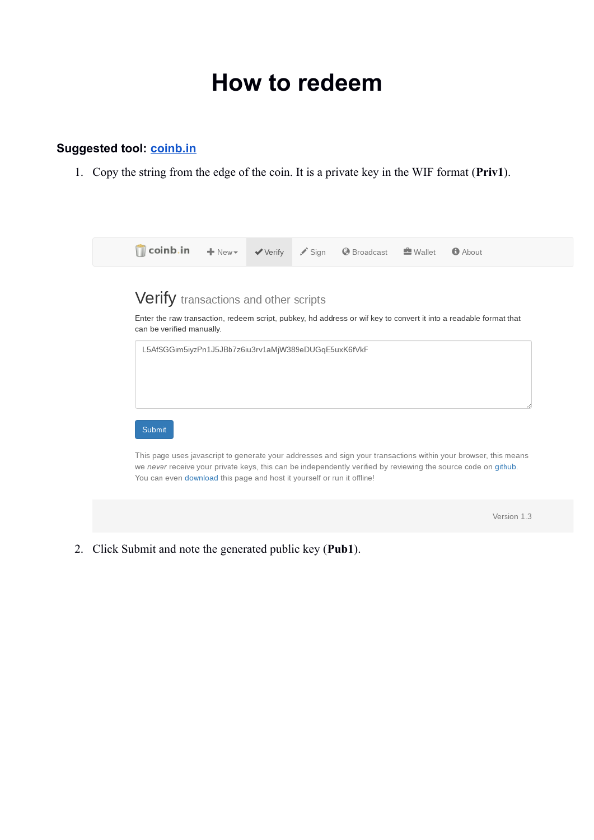# **How to redeem**

## **Suggested tool: [coinb.in](https://coinb.in/)**

1. Copy the string from the edge of the coin. It is a private key in the WIF format (**Priv1**).



2. Click Submit and note the generated public key (**Pub1**).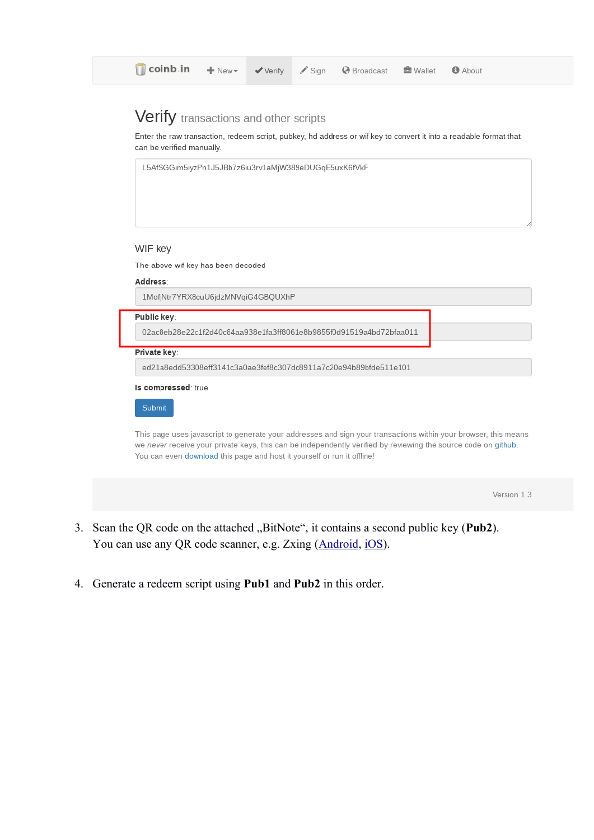# Verify transactions and other scripts

Enter the raw transaction, redeem script, pubkey, hd address or wif key to convert it into a readable format that can be verified manually.



Version 1.3

- 3. Scan the QR code on the attached "BitNote", it contains a second public key (Pub2). You can use any QR code scanner, e.g. Zxing [\(Android](https://play.google.com/store/apps/details?id=com.google.zxing.client.android&hl=cs), [iOS](https://itunes.apple.com/us/app/qr-code-scanner/id436694692?mt=8)).
- 4. Generate a redeem script using **Pub1** and **Pub2** in this order.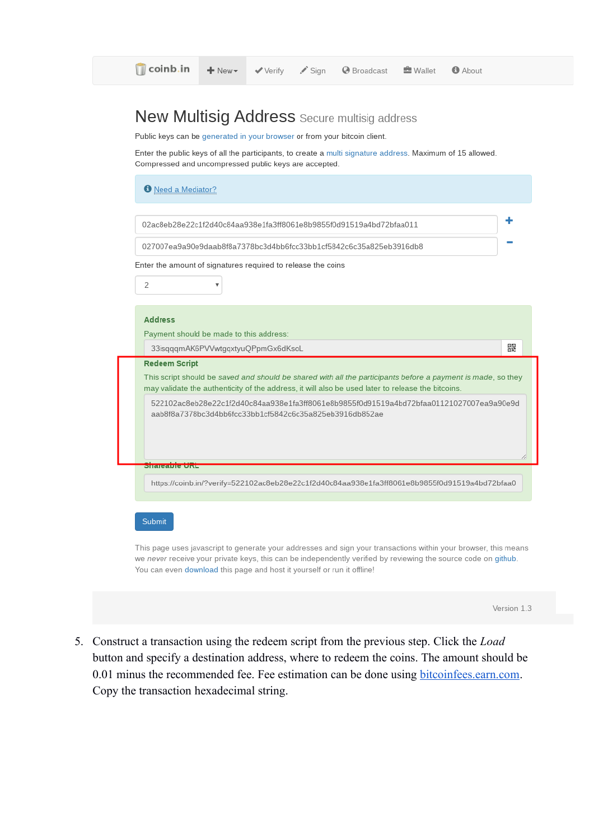| Public keys can be generated in your browser or from your bitcoin client.                                                                                           |                                    |  | <b>New Multisig Address</b> Secure multisig address                                                                                                                                                               |  |   |
|---------------------------------------------------------------------------------------------------------------------------------------------------------------------|------------------------------------|--|-------------------------------------------------------------------------------------------------------------------------------------------------------------------------------------------------------------------|--|---|
| Enter the public keys of all the participants, to create a multi signature address. Maximum of 15 allowed.<br>Compressed and uncompressed public keys are accepted. |                                    |  |                                                                                                                                                                                                                   |  |   |
| <b>O</b> Need a Mediator?                                                                                                                                           |                                    |  |                                                                                                                                                                                                                   |  |   |
|                                                                                                                                                                     |                                    |  | 02ac8eb28e22c1f2d40c84aa938e1fa3ff8061e8b9855f0d91519a4bd72bfaa011                                                                                                                                                |  |   |
|                                                                                                                                                                     |                                    |  | 027007ea9a90e9daab8f8a7378bc3d4bb6fcc33bb1cf5842c6c35a825eb3916db8                                                                                                                                                |  |   |
| Enter the amount of signatures required to release the coins                                                                                                        |                                    |  |                                                                                                                                                                                                                   |  |   |
| 2                                                                                                                                                                   |                                    |  |                                                                                                                                                                                                                   |  |   |
|                                                                                                                                                                     |                                    |  |                                                                                                                                                                                                                   |  |   |
|                                                                                                                                                                     |                                    |  |                                                                                                                                                                                                                   |  |   |
| <b>Address</b>                                                                                                                                                      |                                    |  |                                                                                                                                                                                                                   |  |   |
| Payment should be made to this address:                                                                                                                             |                                    |  |                                                                                                                                                                                                                   |  |   |
|                                                                                                                                                                     | 33isqqqmAK6PVVwtgqxtyuQPpmGx6dKsoL |  |                                                                                                                                                                                                                   |  | 뿗 |
| <b>Redeem Script</b>                                                                                                                                                |                                    |  |                                                                                                                                                                                                                   |  |   |
|                                                                                                                                                                     |                                    |  | This script should be saved and should be shared with all the participants before a payment is made, so they<br>may validate the authenticity of the address, it will also be used later to release the bitcoins. |  |   |
|                                                                                                                                                                     |                                    |  | 522102ac8eb28e22c1f2d40c84aa938e1fa3ff8061e8b9855f0d91519a4bd72bfaa01121027007ea9a90e9d                                                                                                                           |  |   |
| aab8f8a7378bc3d4bb6fcc33bb1cf5842c6c35a825eb3916db852ae                                                                                                             |                                    |  |                                                                                                                                                                                                                   |  |   |
| Shareable URL                                                                                                                                                       |                                    |  |                                                                                                                                                                                                                   |  |   |
|                                                                                                                                                                     |                                    |  |                                                                                                                                                                                                                   |  |   |
|                                                                                                                                                                     |                                    |  | https://coinb.in/?verify=522102ac8eb28e22c1f2d40c84aa938e1fa3ff8061e8b9855f0d91519a4bd72bfaa0                                                                                                                     |  |   |
|                                                                                                                                                                     |                                    |  |                                                                                                                                                                                                                   |  |   |
| Submit                                                                                                                                                              |                                    |  |                                                                                                                                                                                                                   |  |   |

| Version 1.3 |  |
|-------------|--|
|             |  |
|             |  |

5. Construct a transaction using the redeem script from the previous step. Click the *Load* button and specify a destination address, where to redeem the coins. The amount should be 0.01 minus the recommended fee. Fee estimation can be done using [bitcoinfees.earn.com](https://bitcoinfees.earn.com/). Copy the transaction hexadecimal string.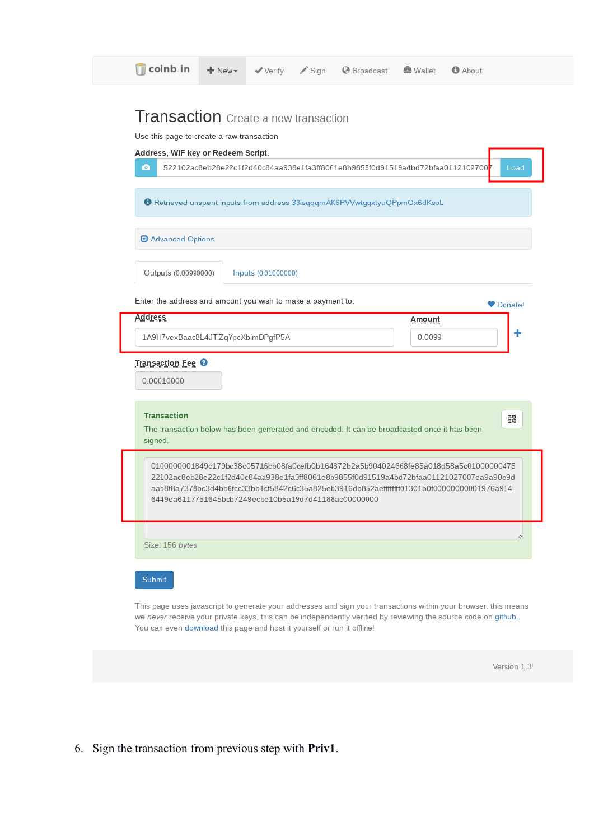|                                                             |                                                      | 522102ac8eb28e22c1f2d40c84aa938e1fa3ff8061e8b9855f0d91519a4bd72bfaa0112102700 <mark>7</mark><br><b>6</b> Retrieved unspent inputs from address 33isqqqmAK6PVVwtgqxtyuQPpmGx6dKsoL |        | Load                                                                                                                                                                                                                                                                             |
|-------------------------------------------------------------|------------------------------------------------------|-----------------------------------------------------------------------------------------------------------------------------------------------------------------------------------|--------|----------------------------------------------------------------------------------------------------------------------------------------------------------------------------------------------------------------------------------------------------------------------------------|
| O Advanced Options                                          |                                                      |                                                                                                                                                                                   |        |                                                                                                                                                                                                                                                                                  |
| Outputs (0.00990000)                                        | Inputs (0.01000000)                                  |                                                                                                                                                                                   |        |                                                                                                                                                                                                                                                                                  |
| Enter the address and amount you wish to make a payment to. |                                                      |                                                                                                                                                                                   |        | Donate!                                                                                                                                                                                                                                                                          |
| <b>Address</b>                                              |                                                      |                                                                                                                                                                                   | Amount |                                                                                                                                                                                                                                                                                  |
| 1A9H7vexBaac8L4JTiZqYpcXbimDPgfP5A                          |                                                      |                                                                                                                                                                                   | 0.0099 |                                                                                                                                                                                                                                                                                  |
| Transaction Fee <sup>O</sup>                                |                                                      |                                                                                                                                                                                   |        |                                                                                                                                                                                                                                                                                  |
|                                                             |                                                      |                                                                                                                                                                                   |        |                                                                                                                                                                                                                                                                                  |
| 0.00010000                                                  |                                                      |                                                                                                                                                                                   |        |                                                                                                                                                                                                                                                                                  |
| <b>Transaction</b><br>signed.                               | 6449ea6117751645bcb7249ecbe10b5a19d7d41188ac00000000 | The transaction below has been generated and encoded. It can be broadcasted once it has been                                                                                      |        | 뽏<br>0100000001849c179bc38c05716cb08fa0cefb0b164872b2a5b904024668fe85a018d58a5c01000000475<br>22102ac8eb28e22c1f2d40c84aa938e1fa3ff8061e8b9855f0d91519a4bd72bfaa01121027007ea9a90e9d<br>aab8f8a7378bc3d4bb6fcc33bb1cf5842c6c35a825eb3916db852aefffffff01301b0f00000000001976a914 |

6. Sign the transaction from previous step with **Priv1**.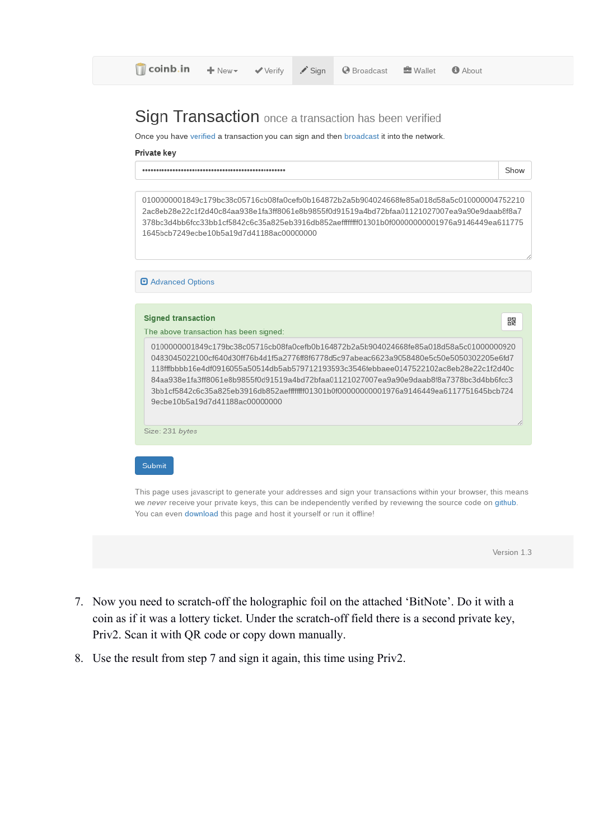# Sign Transaction once a transaction has been verified

Once you have verified a transaction you can sign and then broadcast it into the network.

#### Private key

0100000001849c179bc38c05716cb08fa0cefb0b164872b2a5b904024668fe85a018d58a5c010000004752210 2ac8eb28e22c1f2d40c84aa938e1fa3ff8061e8b9855f0d91519a4bd72bfaa01121027007ea9a90e9daab8f8a7 378bc3d4bb6fcc33bb1cf5842c6c35a825eb3916db852aefffffff01301b0f00000000001976a9146449ea611775 1645bcb7249ecbe10b5a19d7d41188ac00000000

### **D** Advanced Options

### **Signed transaction**

The above transaction has been signed:

0100000001849c179bc38c05716cb08fa0cefb0b164872b2a5b904024668fe85a018d58a5c01000000920 0483045022100cf640d30ff76b4d1f5a2776ff8f6778d5c97abeac6623a9058480e5c50e5050302205e6fd7 118fffbbbb16e4df0916055a50514db5ab579712193593c3546febbaee0147522102ac8eb28e22c1f2d40c 84aa938e1fa3ff8061e8b9855f0d91519a4bd72bfaa01121027007ea9a90e9daab8f8a7378bc3d4bb6fcc3 3bb1cf5842c6c35a825eb3916db852aefffffff01301b0f00000000001976a9146449ea6117751645bcb724 9ecbe10b5a19d7d41188ac00000000

Size: 231 bytes

### Submit

This page uses javascript to generate your addresses and sign your transactions within your browser, this means we never receive your private keys, this can be independently verified by reviewing the source code on github. You can even download this page and host it yourself or run it offline!

Version 1.3

器

- 7. Now you need to scratch-off the holographic foil on the attached 'BitNote'. Do it with a coin as if it was a lottery ticket. Under the scratch-off field there is a second private key, Priv2. Scan it with QR code or copy down manually.
- 8. Use the result from step 7 and sign it again, this time using Priv2.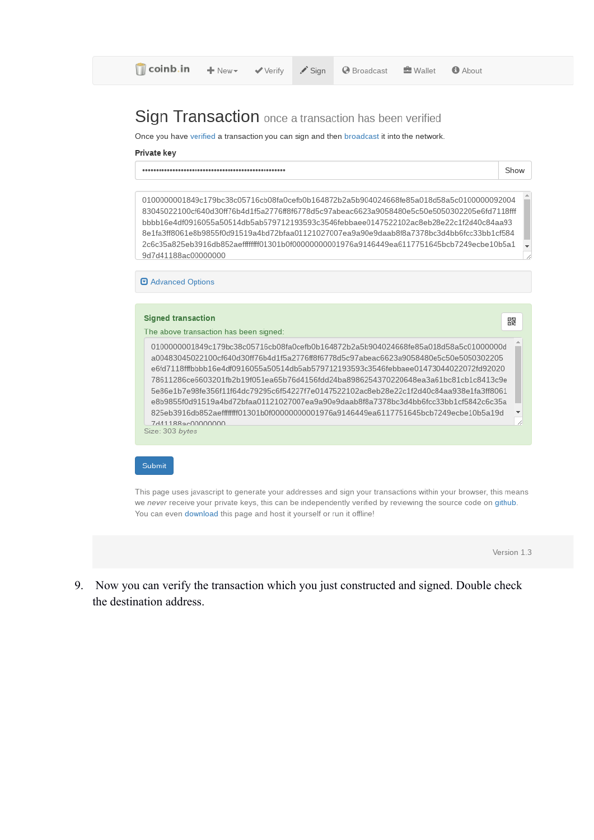**O** Broadcast

# Sign Transaction once a transaction has been verified

Once you have verified a transaction you can sign and then broadcast it into the network.

#### Private key

0100000001849c179bc38c05716cb08fa0cefb0b164872b2a5b904024668fe85a018d58a5c0100000092004 83045022100cf640d30ff76b4d1f5a2776ff8f6778d5c97abeac6623a9058480e5c50e5050302205e6fd7118fff bbbb16e4df0916055a50514db5ab579712193593c3546febbaee0147522102ac8eb28e22c1f2d40c84aa93 8e1fa3ff8061e8b9855f0d91519a4bd72bfaa01121027007ea9a90e9daab8f8a7378bc3d4bb6fcc33bb1cf584 2c6c35a825eb3916db852aefffffff01301b0f00000000001976a9146449ea6117751645bcb7249ecbe10b5a1 9d7d41188ac00000000

**D** Advanced Options

#### **Signed transaction**

The above transaction has been signed:

0100000001849c179bc38c05716cb08fa0cefb0b164872b2a5b904024668fe85a018d58a5c01000000d a00483045022100cf640d30ff76b4d1f5a2776ff8f6778d5c97abeac6623a9058480e5c50e5050302205 e6fd7118fffbbbb16e4df0916055a50514db5ab579712193593c3546febbaee01473044022072fd92020 78611286ce6603201fb2b19f051ea65b76d4156fdd24ba8986254370220648ea3a61bc81cb1c8413c9e 5e86e1b7e98fe356f11f64dc79295c6f54227f7e0147522102ac8eb28e22c1f2d40c84aa938e1fa3ff8061 e8b9855f0d91519a4bd72bfaa01121027007ea9a90e9daab8f8a7378bc3d4bb6fcc33bb1cf5842c6c35a 825eb3916db852aefffffff01301b0f00000000001976a9146449ea6117751645bcb7249ecbe10b5a19d 7d41188ac00000000 Size: 303 bytes

### Submit

This page uses javascript to generate your addresses and sign your transactions within your browser, this means we never receive your private keys, this can be independently verified by reviewing the source code on github. You can even download this page and host it yourself or run it offline!

Version 1.3

Show

器

9. Now you can verify the transaction which you just constructed and signed. Double check the destination address.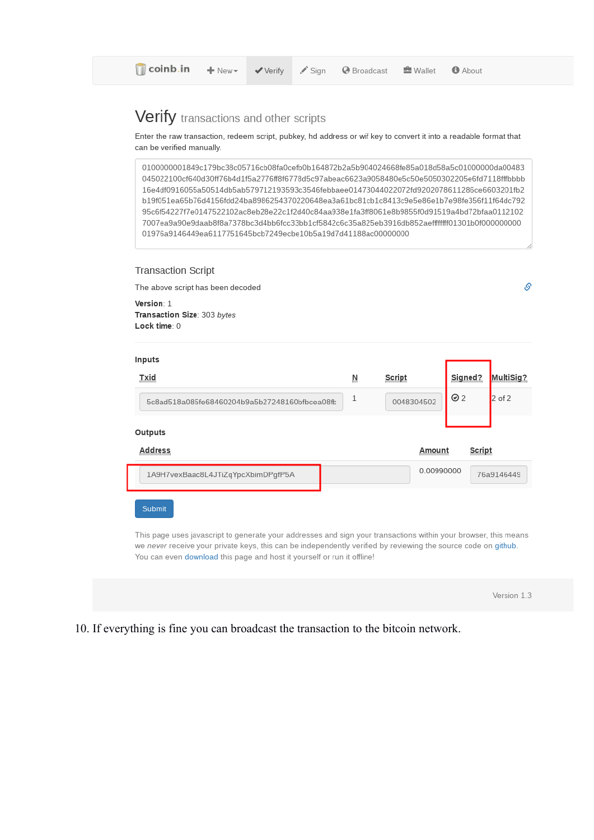# Verify transactions and other scripts

Enter the raw transaction, redeem script, pubkey, hd address or wif key to convert it into a readable format that can be verified manually.

0100000001849c179bc38c05716cb08fa0cefb0b164872b2a5b904024668fe85a018d58a5c01000000da00483 045022100cf640d30ff76b4d1f5a2776ff8f6778d5c97abeac6623a9058480e5c50e5050302205e6fd7118fffbbbb 16e4df0916055a50514db5ab579712193593c3546febbaee01473044022072fd9202078611286ce6603201fb2 b19f051ea65b76d4156fdd24ba8986254370220648ea3a61bc81cb1c8413c9e5e86e1b7e98fe356f11f64dc792 95c6f54227f7e0147522102ac8eb28e22c1f2d40c84aa938e1fa3ff8061e8b9855f0d91519a4bd72bfaa0112102 7007ea9a90e9daab8f8a7378bc3d4bb6fcc33bb1cf5842c6c35a825eb3916db852aefffffff01301b0f000000000 01976a9146449ea6117751645bcb7249ecbe10b5a19d7d41188ac00000000

### **Transaction Script**

The above script has been decoded

Version: 1 Transaction Size: 303 bytes Lock time: 0

| Inputs                                                                                                                                                                                                                                                                                                       |              |            |         |            |
|--------------------------------------------------------------------------------------------------------------------------------------------------------------------------------------------------------------------------------------------------------------------------------------------------------------|--------------|------------|---------|------------|
| Txid                                                                                                                                                                                                                                                                                                         | Ņ            | Script     | Signed? | MultiSig?  |
| 5c8ad518a085fe68460204b9a5b27248160bfbcea08fb                                                                                                                                                                                                                                                                | $\mathbf{1}$ | 0048304502 | ⊙2      | $2$ of 2   |
| Outputs                                                                                                                                                                                                                                                                                                      |              |            |         |            |
| <b>Address</b>                                                                                                                                                                                                                                                                                               |              | Amount     | Script  |            |
| 1A9H7vexBaac8L4JTiZqYpcXbimDPgfP5A                                                                                                                                                                                                                                                                           |              | 0.00990000 |         | 76a9146449 |
| Submit                                                                                                                                                                                                                                                                                                       |              |            |         |            |
| This page uses javascript to generate your addresses and sign your transactions within your browser, this means<br>we never receive your private keys, this can be independently verified by reviewing the source code on github.<br>You can even download this page and host it yourself or run it offline! |              |            |         |            |

Version 1.3

Ŝ

10. If everything is fine you can broadcast the transaction to the bitcoin network.